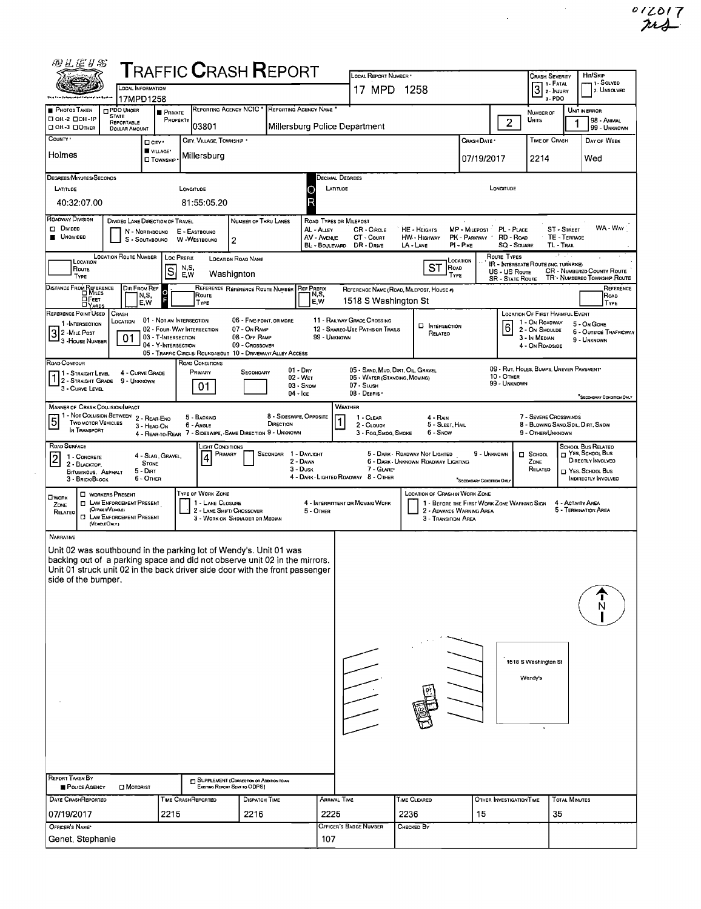$rac{012017}{744}$ 

 $\label{eq:2.1} \frac{1}{\sqrt{2\pi}}\int_{0}^{\infty}\frac{1}{\sqrt{2\pi}}\left(\frac{1}{\sqrt{2\pi}}\right)^{2\alpha} \frac{d\alpha}{\alpha} \,d\beta$ 

| 49.1 星#\$                                                                                                                                                                       |                                                                                                                                                                                                                                                                       |                                                   |               |                                  |                                                                               |                       |                                       |                                                                                                                                                                                |                                                                                                                           |                                                                       |                                          |                            |                                                             |                                    | HIT/SKIP                                                     |  |
|---------------------------------------------------------------------------------------------------------------------------------------------------------------------------------|-----------------------------------------------------------------------------------------------------------------------------------------------------------------------------------------------------------------------------------------------------------------------|---------------------------------------------------|---------------|----------------------------------|-------------------------------------------------------------------------------|-----------------------|---------------------------------------|--------------------------------------------------------------------------------------------------------------------------------------------------------------------------------|---------------------------------------------------------------------------------------------------------------------------|-----------------------------------------------------------------------|------------------------------------------|----------------------------|-------------------------------------------------------------|------------------------------------|--------------------------------------------------------------|--|
|                                                                                                                                                                                 | ${\sf T}$ RAFFIC ${\sf C}$ RASH ${\sf R}$ EPORT<br>LOCAL INFORMATION                                                                                                                                                                                                  |                                                   |               |                                  |                                                                               |                       |                                       |                                                                                                                                                                                | LOCAL REPORT NUMBER<br><b>CRASH SEVERITY</b><br>1 - Solved<br>1 - FATAL<br>Įз<br>17 MPD 1258<br>2. Unsolved<br>2 - INJURY |                                                                       |                                          |                            |                                                             |                                    |                                                              |  |
| PHOTOS TAKEN                                                                                                                                                                    | 17MPD1258<br>PDO UNOER                                                                                                                                                                                                                                                |                                                   |               |                                  | REPORTING AGENCY NCIC . REPORTING AGENCY NAME                                 |                       |                                       |                                                                                                                                                                                |                                                                                                                           |                                                                       |                                          |                            | 3-PDO                                                       |                                    | UNIT IN ERROR                                                |  |
| □ OH-2 □ OH-1P<br>□ OH-3 □ OTHER                                                                                                                                                | <b>STATE</b><br>REPORTABLE<br><b>DOLLAR AMOUNT</b>                                                                                                                                                                                                                    | <b>PRIVATE</b><br>PROPERTY                        |               | 03801                            |                                                                               |                       |                                       | Millersburg Police Department                                                                                                                                                  |                                                                                                                           |                                                                       |                                          | 2                          | NUMBER OF<br>UNITS                                          |                                    | 98 - ANIMAL<br>99 - UNKNOWN                                  |  |
| COUNTY *                                                                                                                                                                        |                                                                                                                                                                                                                                                                       | $\Box$ City $\cdot$                               |               | CITY, VILLAGE, TOWNSHIP *        |                                                                               |                       |                                       |                                                                                                                                                                                |                                                                                                                           |                                                                       | Crash Date •                             |                            | TIME OF CRASH                                               |                                    | DAY OF WEEK                                                  |  |
| Holmes                                                                                                                                                                          |                                                                                                                                                                                                                                                                       | VILLAGE*<br><b>O TOWNSHIP</b>                     |               | Millersburg                      |                                                                               |                       |                                       |                                                                                                                                                                                |                                                                                                                           |                                                                       | 07/19/2017                               |                            | 2214                                                        |                                    | Wed                                                          |  |
| DEGREES/MINUTES/SECONDS                                                                                                                                                         |                                                                                                                                                                                                                                                                       |                                                   |               |                                  |                                                                               |                       |                                       | Decimal Degrees                                                                                                                                                                |                                                                                                                           |                                                                       |                                          |                            |                                                             |                                    |                                                              |  |
| LATITUDE                                                                                                                                                                        |                                                                                                                                                                                                                                                                       |                                                   | LONGITUDE     |                                  |                                                                               |                       | C                                     | LATITUDE                                                                                                                                                                       |                                                                                                                           |                                                                       |                                          | LONGITUDE                  |                                                             |                                    |                                                              |  |
| 40:32:07.00                                                                                                                                                                     |                                                                                                                                                                                                                                                                       |                                                   |               | 81:55:05.20                      |                                                                               |                       | R                                     |                                                                                                                                                                                |                                                                                                                           |                                                                       |                                          |                            |                                                             |                                    |                                                              |  |
| Roadway Division<br><b>DIVIDED</b><br><b>B</b> UNOMDED                                                                                                                          | DIVIDED LANE DIRECTION OF TRAVEL<br>N - NORTHBOUNO                                                                                                                                                                                                                    |                                                   | E - EASTBOUND |                                  | NUMBER OF THRU LANES                                                          |                       | AL - Aury<br>AV - AVENUE              | ROAD TYPES OR MILEPOST<br><b>CR - CIRCLE</b><br>CT - Court                                                                                                                     |                                                                                                                           | <b>HE - HEIGHTS</b><br><b>HW - HIGHWAY</b>                            | MP - MILEPOST PL - PLACE<br>PK - Parkway | RD - Roap                  |                                                             | <b>ST - STREET</b><br>TE - TERRACE | WA - WAY                                                     |  |
| W -WESTBOUND<br>S - SOUTHBOUND<br>2<br>BL - BOULEVARD.<br>DR - DRME<br>LA - LANE<br>$PI - P_{IKE}$<br><b>SQ - SOUARE</b><br>TL - TRAIL                                          |                                                                                                                                                                                                                                                                       |                                                   |               |                                  |                                                                               |                       |                                       |                                                                                                                                                                                |                                                                                                                           |                                                                       |                                          |                            |                                                             |                                    |                                                              |  |
| LOCATION ROUTE NUMBER<br>ROUTE TYPES<br>Loc Prefix<br>LOCATION ROAD NAME<br>LOCATION<br>LOCATION<br>IR - INTERSTATE ROUTE (INC. TURNPIKE)<br><b>ST</b><br>ROAD<br>N,S,<br>Route |                                                                                                                                                                                                                                                                       |                                                   |               |                                  |                                                                               |                       |                                       |                                                                                                                                                                                |                                                                                                                           |                                                                       |                                          |                            |                                                             |                                    |                                                              |  |
| TYPE<br>DISTANCE FROM REFERENCE                                                                                                                                                 | $\vert$ S<br>CR - NUMBERED COUNTY ROUTE<br>US - US Route<br>Washignton<br>E.W<br>TYPE<br>TR - NUMBERED TOWNSHIP ROUTE<br><b>SR</b> - STATE ROUTE<br>DIR FROM REF<br>REFERENCE REFERENCE ROUTE NUMBER<br><b>REF PREFIX</b><br>REFERENCE NAME (ROAD, MILEPOST, HOUSE #) |                                                   |               |                                  |                                                                               |                       |                                       |                                                                                                                                                                                |                                                                                                                           |                                                                       |                                          |                            |                                                             | REFERENCE                          |                                                              |  |
| О Гест<br><b>TYARDS</b>                                                                                                                                                         | N,S,<br>E.W                                                                                                                                                                                                                                                           |                                                   |               | Route<br>TYPE                    |                                                                               |                       | N,S,<br>E,W                           | 1518 S Washington St                                                                                                                                                           |                                                                                                                           |                                                                       |                                          |                            |                                                             |                                    | Road<br>TYPE                                                 |  |
| REFERENCE POINT USED<br>1 - INTERSECTION                                                                                                                                        | <b>CRASH</b><br>LOCATION                                                                                                                                                                                                                                              | 01 - NOT AN INTERSECTION                          |               |                                  | 06 - FIVE-POINT, OR MORE                                                      |                       |                                       | 11 - RAILWAY GRADE CROSSING                                                                                                                                                    |                                                                                                                           |                                                                       |                                          |                            | <b>LOCATION OF FIRST HARMFUL EVENT</b><br>1 - On ROADWAY    |                                    | 5 - On GORE                                                  |  |
| $32$ -MILE POST<br>3 - House Number                                                                                                                                             | 01                                                                                                                                                                                                                                                                    | 02 - FOUR-WAY INTERSECTION<br>03 - T-INTERSECTION |               |                                  | 07 - On RAMP<br>08 - Off RAMP                                                 |                       |                                       | 12 - SHAREO-USE PATHS OR TRAILS<br>99 - UNKNOWN                                                                                                                                |                                                                                                                           | <b>D</b> INTERSECTION<br>RELATED                                      |                                          | 6                          | 2 - On Shoulde<br>3 In MEDIAN                               |                                    | 6 - OUTSIDE TRAFFICWAY<br>9 - UNKNOWN                        |  |
|                                                                                                                                                                                 |                                                                                                                                                                                                                                                                       | 04 - Y-INTERSECTION                               |               |                                  | 09 - Crossover<br>05 - TRAFFIC CIRCLE/ ROUNDABOUT 10 - DRIVEWAY/ ALLEY ACCESS |                       |                                       |                                                                                                                                                                                |                                                                                                                           |                                                                       |                                          |                            | 4 - On ROADSIDE                                             |                                    |                                                              |  |
| ROAD CONTOUR<br>$\sqcap$ 1 - Straight Level                                                                                                                                     | 4 - CURVE GRADE                                                                                                                                                                                                                                                       |                                                   |               | ROAD CONDITIONS<br>PRIMARY       | SECONDARY                                                                     |                       | 01 - Day                              |                                                                                                                                                                                |                                                                                                                           | 05 - SAND, MUD, DIRT, OIL, GRAVEL                                     |                                          |                            | 09 - RUT, HOLES, BUMPS, UNEVEN PAVEMENT                     |                                    |                                                              |  |
| 2 - STRAIGHT GRADE<br>3 - CURVE LEVEL                                                                                                                                           | 9 - UNKNOWN                                                                                                                                                                                                                                                           |                                                   |               | 01                               |                                                                               |                       | 02 - WET<br>$03 -$ SNOW<br>$04 -$ Ice | 06 - WATER (STANDING, MOVING)<br>07 - SLUSH<br>08 - DEBRIS                                                                                                                     |                                                                                                                           |                                                                       |                                          | 10 - OTHER<br>99 - UNKNOWN |                                                             |                                    |                                                              |  |
| <b>MANNER OF CRASH COLLISION/IMPACT</b>                                                                                                                                         |                                                                                                                                                                                                                                                                       |                                                   |               |                                  |                                                                               |                       |                                       | WEATHER                                                                                                                                                                        |                                                                                                                           |                                                                       |                                          |                            |                                                             |                                    | SECONDARY CONDITION ONLY                                     |  |
| 1 - NOT COLLISION BETWEEN<br>5<br>TWO MOTOR VEHICLES                                                                                                                            |                                                                                                                                                                                                                                                                       | 2 - REAR-END<br>3 - HEAD-ON                       |               | 5 - BACKING<br>6 - Angle         |                                                                               | DIRECTION             | 8 - SIDESWIPE, OPPOSITE               | 1 - CLEAR<br>1<br>2 - CLOUDY                                                                                                                                                   |                                                                                                                           | 4 - Rain<br>5 - SLEET, HAIL                                           |                                          |                            | 7 - SEVERE CROSSWINDS<br>8 - Blowing Sano, Soil, Dirt, Snow |                                    |                                                              |  |
| IN TRANSPORT                                                                                                                                                                    |                                                                                                                                                                                                                                                                       |                                                   |               |                                  | 4 - REAR-TO-REAR 7 - SIDESWIPE, -SAME DIRECTION 9 - UNKNOWN                   |                       |                                       | 3 - Fog, Smog, Smoke                                                                                                                                                           |                                                                                                                           | 6 - SNOW                                                              |                                          |                            | 9 - Other/Unknown                                           |                                    |                                                              |  |
| ROAD SURFACE<br>1 - CONCRETE<br>$\overline{\mathbf{2}}$                                                                                                                         |                                                                                                                                                                                                                                                                       | 4 - SLAG, GRAVEL,                                 |               | Light Conditions<br>PRIMARY<br>4 |                                                                               | SECONDAR 1 - DAYLIGHT | 2 - DAWN                              |                                                                                                                                                                                |                                                                                                                           | 5 - DARK - RDADWAY NOT LIGHTED<br>6 - DARK - UNKNOWN ROADWAY LIGHTING | 9 - UNKNOWN                              |                            | <b>D</b> SCHOOL<br>ZONE                                     |                                    | School Bus Relateo<br>T YES, SCHOOL Bus<br>DIRECTLY INVOLVED |  |
| 2 - BLACKTOP,<br>BITUMINOUS, ASPHALT<br>3 - BRICK/BLOCK                                                                                                                         | <b>STONE</b><br>5 - Dirt<br>6 - OTHER                                                                                                                                                                                                                                 |                                                   |               |                                  |                                                                               |                       | $3 - D$ USK                           | 4 - DARK - LIGHTED ROADWAY 8 - OTHER                                                                                                                                           | 7 - GLARE'                                                                                                                |                                                                       |                                          |                            | RELATED                                                     |                                    | T YES, SCHOOL BUS<br>INDIRECTLY INVOLVED                     |  |
| <b>O</b> WORK                                                                                                                                                                   | <b>U</b> WORKERS PRESENT                                                                                                                                                                                                                                              |                                                   |               | TYPE OF WORK ZONE                |                                                                               |                       |                                       |                                                                                                                                                                                |                                                                                                                           | <b>LOCATION OF CRASH IN WORK ZONE</b>                                 | SECONDARY CONDITION ONL                  |                            |                                                             |                                    |                                                              |  |
| ZONE<br>RELATEO                                                                                                                                                                 | <b>D</b> LAW ENFORCEMENT PRESENT<br>(OFFICER/VEHICLE)<br><b>CI LAW ENFORCEMENT PRESENT</b><br>(VEHOLE OM.Y)                                                                                                                                                           |                                                   |               | 1 - LANE CLOSURE                 | 2 - LANE SHIFT/ CROSSOVER<br>3 - WORK ON SHOULDER OR MEDIAN                   |                       | 5 - OTHER                             | 4 - Intermittent or Moving Work<br>1 - BEFORE THE FIRST WORK ZONE WARNING SIGN<br>4 - ACTIVITY AREA<br>5 - TERMINATION AREA<br>2 - ADVANCE WARNING AREA<br>3 - Transition Area |                                                                                                                           |                                                                       |                                          |                            |                                                             |                                    |                                                              |  |
| NARRATNE                                                                                                                                                                        |                                                                                                                                                                                                                                                                       |                                                   |               |                                  |                                                                               |                       |                                       |                                                                                                                                                                                |                                                                                                                           |                                                                       |                                          |                            |                                                             |                                    |                                                              |  |
| Unit 02 was southbound in the parking lot of Wendy's. Unit 01 was                                                                                                               |                                                                                                                                                                                                                                                                       |                                                   |               |                                  |                                                                               |                       |                                       |                                                                                                                                                                                |                                                                                                                           |                                                                       |                                          |                            |                                                             |                                    |                                                              |  |
| backing out of a parking space and did not observe unit 02 in the mirrors.<br>Unit 01 struck unit 02 in the back driver side door with the front passenger                      |                                                                                                                                                                                                                                                                       |                                                   |               |                                  |                                                                               |                       |                                       |                                                                                                                                                                                |                                                                                                                           |                                                                       |                                          |                            |                                                             |                                    |                                                              |  |
| side of the bumper.                                                                                                                                                             |                                                                                                                                                                                                                                                                       |                                                   |               |                                  |                                                                               |                       |                                       |                                                                                                                                                                                |                                                                                                                           |                                                                       |                                          |                            |                                                             |                                    |                                                              |  |
|                                                                                                                                                                                 |                                                                                                                                                                                                                                                                       |                                                   |               |                                  |                                                                               |                       |                                       |                                                                                                                                                                                |                                                                                                                           |                                                                       |                                          |                            |                                                             |                                    |                                                              |  |
|                                                                                                                                                                                 |                                                                                                                                                                                                                                                                       |                                                   |               |                                  |                                                                               |                       |                                       |                                                                                                                                                                                |                                                                                                                           |                                                                       |                                          |                            |                                                             |                                    |                                                              |  |
|                                                                                                                                                                                 |                                                                                                                                                                                                                                                                       |                                                   |               |                                  |                                                                               |                       |                                       |                                                                                                                                                                                |                                                                                                                           |                                                                       |                                          |                            | 1518 S Washington St                                        |                                    |                                                              |  |
|                                                                                                                                                                                 |                                                                                                                                                                                                                                                                       |                                                   |               |                                  |                                                                               |                       |                                       |                                                                                                                                                                                |                                                                                                                           |                                                                       |                                          |                            | Wendy's                                                     |                                    |                                                              |  |
|                                                                                                                                                                                 |                                                                                                                                                                                                                                                                       |                                                   |               |                                  |                                                                               |                       |                                       |                                                                                                                                                                                |                                                                                                                           |                                                                       |                                          |                            |                                                             |                                    |                                                              |  |
|                                                                                                                                                                                 |                                                                                                                                                                                                                                                                       |                                                   |               |                                  |                                                                               |                       |                                       |                                                                                                                                                                                |                                                                                                                           |                                                                       |                                          |                            |                                                             |                                    |                                                              |  |
|                                                                                                                                                                                 |                                                                                                                                                                                                                                                                       |                                                   |               |                                  |                                                                               |                       |                                       |                                                                                                                                                                                |                                                                                                                           |                                                                       |                                          |                            |                                                             |                                    |                                                              |  |
|                                                                                                                                                                                 |                                                                                                                                                                                                                                                                       |                                                   |               |                                  |                                                                               |                       |                                       |                                                                                                                                                                                |                                                                                                                           |                                                                       |                                          |                            |                                                             |                                    |                                                              |  |
|                                                                                                                                                                                 |                                                                                                                                                                                                                                                                       |                                                   |               |                                  |                                                                               |                       |                                       |                                                                                                                                                                                |                                                                                                                           |                                                                       |                                          |                            |                                                             |                                    |                                                              |  |
| <b>REPORT TAKEN BY</b>                                                                                                                                                          |                                                                                                                                                                                                                                                                       |                                                   |               |                                  | SUPPLEMENT (CORRECTION OR ADDITION TO AN                                      |                       |                                       |                                                                                                                                                                                |                                                                                                                           |                                                                       |                                          |                            |                                                             |                                    |                                                              |  |
| POLICE AGENCY<br>DATE CRASHREPORTED                                                                                                                                             | <b>CI MOTORIST</b>                                                                                                                                                                                                                                                    |                                                   |               | <b>TIME CRASHREPORTED</b>        | EXISTING REPORT SENT TO ODPS)<br>DISPATCH TIME                                |                       |                                       | ARRIVAL TIME                                                                                                                                                                   |                                                                                                                           | TIME CLEARED                                                          |                                          | OTHER INVESTIGATION TIME   |                                                             | <b>TOTAL MINUTES</b>               |                                                              |  |
| 07/19/2017                                                                                                                                                                      |                                                                                                                                                                                                                                                                       | 2215                                              |               |                                  | 2216                                                                          |                       | 2225                                  |                                                                                                                                                                                |                                                                                                                           | 2236                                                                  | 15                                       |                            | 35                                                          |                                    |                                                              |  |
| OFFICER'S NAME*                                                                                                                                                                 |                                                                                                                                                                                                                                                                       |                                                   |               |                                  |                                                                               |                       |                                       | OFFICER'S BADGE NUMBER                                                                                                                                                         |                                                                                                                           | <b>CHECKED BY</b>                                                     |                                          |                            |                                                             |                                    |                                                              |  |
| Genet, Stephanie                                                                                                                                                                |                                                                                                                                                                                                                                                                       |                                                   |               |                                  |                                                                               |                       | 107                                   |                                                                                                                                                                                |                                                                                                                           |                                                                       |                                          |                            |                                                             |                                    |                                                              |  |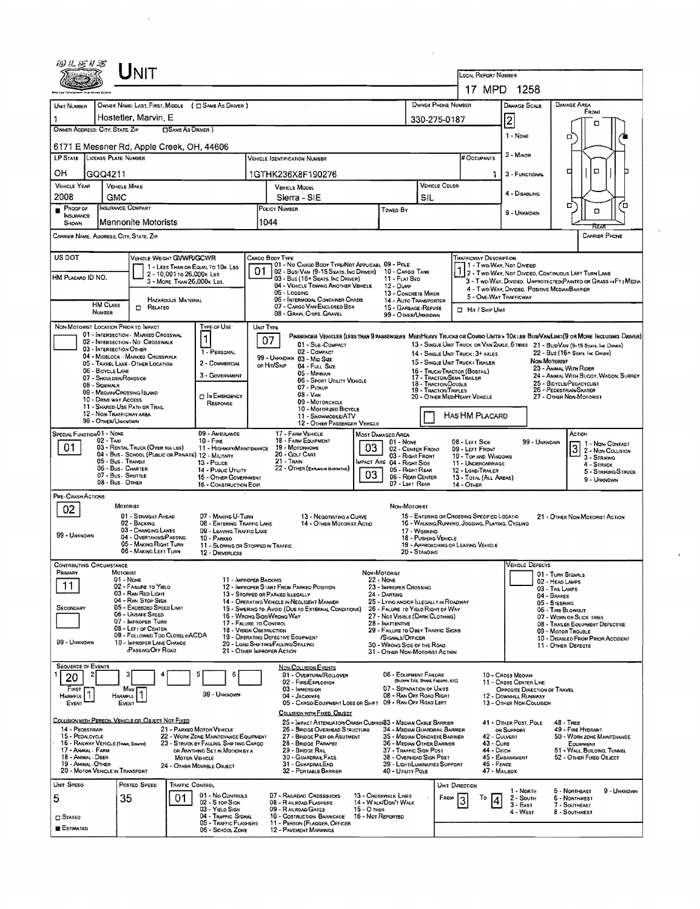| ERI H. SE H SS                                                                                                                        |                                             | Unit                                                                       |                                                         |                                                                   |                                                                                                                                          |                                                                                                                                                          |                                                    |                                                                                   |                                  |                |                                                                                                                                                    |                                                        |              |                                                                                    |                                    |  |
|---------------------------------------------------------------------------------------------------------------------------------------|---------------------------------------------|----------------------------------------------------------------------------|---------------------------------------------------------|-------------------------------------------------------------------|------------------------------------------------------------------------------------------------------------------------------------------|----------------------------------------------------------------------------------------------------------------------------------------------------------|----------------------------------------------------|-----------------------------------------------------------------------------------|----------------------------------|----------------|----------------------------------------------------------------------------------------------------------------------------------------------------|--------------------------------------------------------|--------------|------------------------------------------------------------------------------------|------------------------------------|--|
|                                                                                                                                       |                                             |                                                                            |                                                         |                                                                   |                                                                                                                                          |                                                                                                                                                          |                                                    |                                                                                   |                                  |                | LOCAL REPORT NUMBER<br>17 MPD 1258                                                                                                                 |                                                        |              |                                                                                    |                                    |  |
|                                                                                                                                       |                                             |                                                                            |                                                         |                                                                   |                                                                                                                                          |                                                                                                                                                          |                                                    |                                                                                   |                                  |                |                                                                                                                                                    |                                                        |              |                                                                                    |                                    |  |
| UNIT NUMBER                                                                                                                           |                                             |                                                                            |                                                         | OWNER NAME: LAST, FIRST, MIDDLE (C) SAME AS DRIVER )              |                                                                                                                                          | OWNER PHONE NUMBER                                                                                                                                       |                                                    |                                                                                   |                                  |                |                                                                                                                                                    | DAMAGE SCALE                                           |              | <b>DAMAGE AREA</b><br>FRONT                                                        |                                    |  |
| OWNER ADDRESS: CITY, STATE, ZIP                                                                                                       |                                             | Hostetler, Marvin, E                                                       | □ SAME AS DRIVER)                                       |                                                                   |                                                                                                                                          |                                                                                                                                                          |                                                    |                                                                                   | 330-275-0187                     |                |                                                                                                                                                    | $\overline{2}$                                         |              | □                                                                                  |                                    |  |
|                                                                                                                                       |                                             |                                                                            |                                                         |                                                                   |                                                                                                                                          |                                                                                                                                                          |                                                    |                                                                                   |                                  |                |                                                                                                                                                    | 1 - NONE                                               |              | а                                                                                  |                                    |  |
| <b>LP STATE</b>                                                                                                                       | LICENSE PLATE NUMBER                        | 6171 E Messner Rd, Apple Creek, OH, 44606                                  |                                                         |                                                                   |                                                                                                                                          | <b>VEHICLE IDENTIFICATION NUMBER</b>                                                                                                                     |                                                    |                                                                                   |                                  |                | # Occupants                                                                                                                                        | 2 - MINOR                                              |              |                                                                                    |                                    |  |
| OН                                                                                                                                    | GQQ4211                                     |                                                                            |                                                         |                                                                   |                                                                                                                                          | 1GTHK236X8F190276                                                                                                                                        |                                                    |                                                                                   |                                  |                | 1                                                                                                                                                  | 3 - FUNCTIONAL                                         |              | ο<br>α                                                                             |                                    |  |
| <b>VEHICLE YEAR</b>                                                                                                                   |                                             | <b>VEHICLE MAKE</b>                                                        |                                                         |                                                                   | <b>VEHICLE COLOR</b><br><b>VEHICLE MODEL</b>                                                                                             |                                                                                                                                                          |                                                    |                                                                                   |                                  |                |                                                                                                                                                    |                                                        |              |                                                                                    |                                    |  |
| 2008                                                                                                                                  | GMC                                         | INSURANCE COMPANY                                                          |                                                         |                                                                   |                                                                                                                                          | Sierra - SIE                                                                                                                                             |                                                    | SIL                                                                               |                                  |                | 4 - Disabling                                                                                                                                      |                                                        | □            | ם'                                                                                 |                                    |  |
| Proof of<br>Н<br><b>INSURANCE</b><br>SHOWN                                                                                            |                                             | Mennonite Motorists                                                        |                                                         |                                                                   | POLICY NUMBER<br>Towed By<br>1044                                                                                                        |                                                                                                                                                          |                                                    |                                                                                   |                                  |                |                                                                                                                                                    | 9 - UNKNOWN                                            |              | $\Box$                                                                             |                                    |  |
| CARRIER NAME, ADDRESS, CITY, STATE, ZIP                                                                                               |                                             |                                                                            |                                                         |                                                                   |                                                                                                                                          |                                                                                                                                                          |                                                    |                                                                                   |                                  |                |                                                                                                                                                    |                                                        |              | RTA                                                                                | <b>CARRIER PHONE</b>               |  |
| US DOT                                                                                                                                |                                             | <b>VEHICLE WEIGHT GVWR/GCWR</b>                                            |                                                         |                                                                   | Cargo Booy Type                                                                                                                          |                                                                                                                                                          |                                                    |                                                                                   |                                  |                | Trafficway Description                                                                                                                             |                                                        |              |                                                                                    |                                    |  |
| HM PLACARD ID NO.                                                                                                                     |                                             |                                                                            | 2 - 10,001 to 26,000x Las<br>3 - MORE THAN 26,000K LBS. | 1 - LESS THAN OR EQUAL TO 10K LBS                                 | 01                                                                                                                                       | 01 - No CARGO BOOY TYPE/NOT APPLICABL 09 - POLE<br>02 - Bus/ Van (9-15 Seats, Inc Driver)<br>03 - Bus (16+ Seats, Inc DRIVER)                            |                                                    | 10 - Cargo Tank<br>11 - FLAT BED                                                  |                                  |                | 11 - Two Way Not Divided<br>2 - Two WAY, NOT DIVIDED, CONTINUOUS LEFT TURN LANE<br>3 - Two-Way, Divideo, UNPROTECTED(PAINTED OR GRASS >4FT.) MEDIA |                                                        |              |                                                                                    |                                    |  |
|                                                                                                                                       |                                             |                                                                            | <b>HAZARDOUS MATERIAL</b>                               |                                                                   |                                                                                                                                          | 04 - VEHICLE TOWING ANOTHER VEHICLE<br>05 - Logging<br>06 - INTERMODAL CONTAINER CHASIS                                                                  |                                                    | 12 - Dump<br>13 - CONCRETE MIXER                                                  |                                  |                | 4 - Two-Way, Divideo, Positive Median Barrier<br>5 - ONE-WAY TRAFFICWAY                                                                            |                                                        |              |                                                                                    |                                    |  |
|                                                                                                                                       | <b>HM CLASS</b><br>NUMBER                   | $\Box$ Related                                                             |                                                         |                                                                   |                                                                                                                                          | 14 - AUTO TRANSPORTER<br>07 - CARGO VAN/ENCLOSED BOX<br>15 - GARBAGE / REFUSE<br>08 - GRAIN, CHIPS, GRAVEL<br>99 - OTHER/UNKNOWN                         |                                                    |                                                                                   |                                  |                | <b>D</b> Hit / Skip Unit                                                                                                                           |                                                        |              |                                                                                    |                                    |  |
| NON-MOTORIST LOCATION PRIOR TO IMPACT                                                                                                 |                                             | 01 - INTERSECTION - MARKED CROSSWAL                                        |                                                         | TYPE OF USE                                                       | UNIT TYPE                                                                                                                                | PASSENGER VEHICLES (LESS THAN 9 PASSENGERS MEDIHEAVY TRUCKS OR COMBO UNITS > 10K LBS BUS/VAWLIMO (9 OR MORE INCLUDING DRIVER)                            |                                                    |                                                                                   |                                  |                |                                                                                                                                                    |                                                        |              |                                                                                    |                                    |  |
|                                                                                                                                       | 03 - INTERSECTION OTHER                     | 02 - INTERSECTION - NO CROSSWALK                                           |                                                         | 1                                                                 | 07                                                                                                                                       | 01 - Sua-Compact                                                                                                                                         |                                                    |                                                                                   |                                  |                |                                                                                                                                                    |                                                        |              | 13 - SINGLE UNIT TRUCK OR VAN ZAXLE, 6 TIRES 21 - BUS/VAN (9-15 SEATS, INC DRIVER) |                                    |  |
|                                                                                                                                       |                                             | 04 - MIDBLOCK - MARKED CROSSWALK<br>05 - TRAVEL LANE - OTHER LOCATION      |                                                         | 1 - PERSONAL<br>2 - COMMERCIAL                                    |                                                                                                                                          | 02 - COMPACT<br>99 - UNKNOWN 03 - MID SIZE<br>OR HIT/SKIP                                                                                                |                                                    |                                                                                   |                                  |                | 14 - SINGLE UNIT TRUCK; 3+ AXLES<br>15 - SINGLE UNIT TRUCK / TRAILER                                                                               |                                                        | Non-Motoriet | 22 - Bus (16+ Seats, Inc Driver)                                                   |                                    |  |
|                                                                                                                                       | 06 - BICYCLE LANE<br>07 - SHOULDERIROADSIDE |                                                                            |                                                         | 3 - GOVERNMENT                                                    |                                                                                                                                          | 04 - Full Size<br>05 - Minivan                                                                                                                           |                                                    |                                                                                   | 16 - TRUCK/TRACTOR (BOSTAIL)     |                |                                                                                                                                                    |                                                        |              | 23 - ANMAL WITH RIDER<br>24 - ANIMAL WITH BUGGY, WAGON, SURREY                     |                                    |  |
|                                                                                                                                       | 08 - Sidewalk                               | 09 - MEDIAN CROSSING SLAND                                                 |                                                         |                                                                   |                                                                                                                                          | 06 - SPORT UTILITY VEHICLE<br>07 - Prokup                                                                                                                | 18 - TRACTOR/DOUBLE<br><b>19 - TRACTOR/TRIPLES</b> | 17 - TRACTOR/SEMI-TRAILER<br>25 - BICYCLE/PEDACYCLIST<br>26 - PEDESTRIAN SKATER   |                                  |                |                                                                                                                                                    |                                                        |              |                                                                                    |                                    |  |
|                                                                                                                                       | 10 - DRIVE WAY ACCESS                       | 11 - SHARED-USE PATH OR TRAIL                                              |                                                         | <b>DIN EMERGENCY</b><br>RESPONSE                                  | $08 - V_{AM}$<br>09 - MOTORCYCLE                                                                                                         |                                                                                                                                                          |                                                    |                                                                                   |                                  |                | 20 - OTHER MEDIHEAVY VEHICLE<br>27 - OTHER NON-MOTORIST                                                                                            |                                                        |              |                                                                                    |                                    |  |
|                                                                                                                                       | 99 - OTHER/UNKNOWN                          | 12 - NON-TRAFFICWAY AREA                                                   |                                                         |                                                                   |                                                                                                                                          | 10 - MOTORIZEO BICYCLE<br>HAS HM PLACARD<br>11 - SNOWMOBILE/ATV                                                                                          |                                                    |                                                                                   |                                  |                |                                                                                                                                                    |                                                        |              |                                                                                    |                                    |  |
| SPECIAL FUNCTION 01 - NONE                                                                                                            |                                             |                                                                            |                                                         | 09 - AMBULANCE                                                    |                                                                                                                                          | 12 - OTHER PASSENGER VEHICLE<br>17 - FARM VEHICLE                                                                                                        |                                                    | MOST DAMAGED AREA                                                                 |                                  |                |                                                                                                                                                    |                                                        |              | ACTION                                                                             |                                    |  |
| 01                                                                                                                                    | $02 - TAXI$                                 | 03 - RENTAL TRUCK (OVER 10X LBS)                                           |                                                         | $10 -$ Fire<br>11 - HIGHWAY/MAINTENANCE                           |                                                                                                                                          | 18 - FARM EQUIPMENT<br>19 - Мотряноме                                                                                                                    | 03                                                 | $01 - None$                                                                       | 02 - CENTER FRONT                |                | 08 - LEFT SIDE<br>09 - LEFT FRONT                                                                                                                  |                                                        | 99 - UNKNDWN |                                                                                    | $3\overline{)3}$ $1 -$ Non-Contact |  |
|                                                                                                                                       | 05 - Bus - Transit                          | 04 - Bus - SCHOOL (PUBLIC OR PRIVATE) 12 - MILITARY                        |                                                         | 13 - Pouce                                                        | 20 - GOLF CART<br>03 - Right Front<br>21 - Tran<br>MPACT ARE 04 - RIGHT SIDE                                                             |                                                                                                                                                          |                                                    |                                                                                   |                                  |                | 10 - Top AND WINDOWS<br>3 - STRIKING<br>11 - UNDERCARRIAGE                                                                                         |                                                        |              |                                                                                    |                                    |  |
|                                                                                                                                       |                                             | 06 - Bus - Charter<br>07 - Bus - SHUTTLE                                   |                                                         | 14 - PUBLIC UTILITY<br>15 - OTHER GOVERNMENT                      | 22 - OTHER (EXPLAIN IN NARRATIVE)<br>05 - RIGHT REAR<br>03<br>06 - REAR CENTER                                                           |                                                                                                                                                          |                                                    |                                                                                   |                                  |                | 12 - LOAD/TRAILER<br>13 - TOTAL (ALL AREAS)                                                                                                        |                                                        | 4 - STRUCK   | 5 - STRIKING/STRUCK                                                                |                                    |  |
|                                                                                                                                       | 08 - Bus - Other                            |                                                                            |                                                         | 16 - CONSTRUCTION EOIP.                                           |                                                                                                                                          |                                                                                                                                                          |                                                    | 07 - LEFT REAR                                                                    |                                  |                | $14 -$ OTHER                                                                                                                                       |                                                        |              |                                                                                    | 9 - UNKNOWN                        |  |
| PRE-CRASH ACTIONS                                                                                                                     |                                             | <b>MOTORIST</b>                                                            |                                                         |                                                                   |                                                                                                                                          |                                                                                                                                                          |                                                    | NON-MOTORIST                                                                      |                                  |                |                                                                                                                                                    |                                                        |              |                                                                                    |                                    |  |
| 02                                                                                                                                    |                                             | 01 - STRAIGHT AHEAD                                                        |                                                         | 07 - MAKING U-TURN                                                |                                                                                                                                          | 13 - Negotiating a Curve                                                                                                                                 |                                                    |                                                                                   |                                  |                | 15 - ENTERING OR CROSSING SPECIFIED LOCATIO                                                                                                        |                                                        |              | 21 - OTHER NON-MOTORIST ACTION                                                     |                                    |  |
| 99 - UNKNOWN                                                                                                                          |                                             | 02 - BACKING<br>03 - CHANGING LANES                                        |                                                         | 08 - ENTERING TRAFFIC LANE<br>09 - LEAVING TRAFFIC LANE           | 14 - OTHER MOTORIST ACTIO<br>16 - WALKING, RUNNINO, JOGGING, PLAYING, CYCLING<br>17 - WORKING                                            |                                                                                                                                                          |                                                    |                                                                                   |                                  |                |                                                                                                                                                    |                                                        |              |                                                                                    |                                    |  |
|                                                                                                                                       |                                             | 04 - OVERTAKING/PASSING<br>05 - MAKING RIGHT TURN<br>06 - MAKING LEFT TURN |                                                         | 10 - PARKEO<br>11 - SLOWING OR STOPPED IN TRAFFIC                 |                                                                                                                                          |                                                                                                                                                          |                                                    |                                                                                   | 18 - PUSHING VEHICLE             |                | 19 - APPROACHING OR LEAVING VEHICLE                                                                                                                |                                                        |              |                                                                                    |                                    |  |
| CONTRIBUTING CIRCUMSTANCE                                                                                                             |                                             |                                                                            |                                                         | 12 - DRIVERLESS                                                   |                                                                                                                                          |                                                                                                                                                          |                                                    |                                                                                   | 20 - Standing                    |                |                                                                                                                                                    | <b>VEHICLE DEFECTS</b>                                 |              |                                                                                    |                                    |  |
| PRIMARY                                                                                                                               |                                             | MOTORIST<br>01 - None                                                      |                                                         |                                                                   | 11 - IMPROPER BACKING                                                                                                                    |                                                                                                                                                          |                                                    | NON-MOTORIST<br>$22 - None$                                                       |                                  |                |                                                                                                                                                    |                                                        |              | 01 - TURN SIGNALS                                                                  |                                    |  |
|                                                                                                                                       |                                             | 02 - FAILURE TO YIELD<br>03 - RAN RED LIGHT                                |                                                         |                                                                   |                                                                                                                                          | 12 - IMPROPER START FROM PARKED POSITION                                                                                                                 |                                                    | 23 - IMPROPER CROSSING                                                            |                                  |                |                                                                                                                                                    |                                                        | 04 - BRAKES  | 02 - HEAD LAMPS<br>03 - TAIL LAMPS                                                 |                                    |  |
| SECONDARY                                                                                                                             |                                             | 04 - RAN STOP SIGN<br>05 - Excesoso Speso Limit                            |                                                         |                                                                   | 13 - STOPPED OR PARKED ILLEGALLY<br>24 - DARTING<br>14 - OPERATING VEHICLE IN NEGLIGENT MANNER<br>25 - LYING ANDIOR ILLEGALLY IN ROADWAY |                                                                                                                                                          |                                                    |                                                                                   |                                  |                |                                                                                                                                                    |                                                        |              |                                                                                    |                                    |  |
|                                                                                                                                       |                                             | 06 - UNSAFE SPEED<br>07 - IMPROPER TURN                                    |                                                         |                                                                   |                                                                                                                                          | 15 - Swering to Avoid (Due to External Conditions)<br>26 - FALURE TO YIELD RIGHT OF WAY<br>16 - WRONG SIDE/WRONG WAY<br>27 - NOT VISIBLE (DARK CLOTHING) |                                                    |                                                                                   |                                  |                |                                                                                                                                                    | 06 - TIRE BLOWOUT<br>07 - WORN OR SLICK TIRES          |              |                                                                                    |                                    |  |
|                                                                                                                                       |                                             | 08 - LEFT OF CENTER<br>09 - FOLLOWED TOO CLOSELY/ACDA                      |                                                         |                                                                   |                                                                                                                                          | 17 - FALURE TO CONTROL<br>28 - INATTENTIVE<br>18 - VISION OBSTRUCTION<br>29 - FAILURE TO OBEY TRAFFIC SIGNS<br>19 - OPERATING DEFECTIVE EOUIPMENT        |                                                    |                                                                                   |                                  |                |                                                                                                                                                    | 08 - TRALER EQUIPMENT DEFECTIVE<br>09 - MOTOR TROUBLE  |              |                                                                                    |                                    |  |
| 99 - UNKNOWN                                                                                                                          |                                             | 10 - IMPROPER LANE CHANGE<br><b>PASSING/OFF ROAD</b>                       |                                                         |                                                                   |                                                                                                                                          | 20 - LOAD SHIFTING/FALLING/SPILLING<br>21 - OTHER IMPROPER ACTION                                                                                        |                                                    | /SIGNALS/OFFICER<br>30 - WRONG SIDE OF THE ROAD<br>31 - OTHER NON-MOTORIST ACTION |                                  |                |                                                                                                                                                    |                                                        |              | 10 - DISABLED FROM PRIOR ACCIDENT<br>11 - OTHER DEFECTS                            |                                    |  |
| <b>SEQUENCE OF EVENTS</b>                                                                                                             |                                             |                                                                            |                                                         |                                                                   |                                                                                                                                          |                                                                                                                                                          |                                                    |                                                                                   |                                  |                |                                                                                                                                                    |                                                        |              |                                                                                    |                                    |  |
| 20                                                                                                                                    |                                             |                                                                            |                                                         | Е                                                                 |                                                                                                                                          | NON-COLLISION EVENTS<br>01 - Overturn/Rollover                                                                                                           |                                                    | 06 - EQUIPMENT FAILURE                                                            | (BLOWN TIRE, BRAKE FAILURE, ETC) |                |                                                                                                                                                    | 10 - CROSS MEORN                                       |              |                                                                                    |                                    |  |
| First<br>HARMFUL <sup>1</sup>                                                                                                         |                                             | Ması                                                                       |                                                         | 99 - UNKNOWN                                                      |                                                                                                                                          | 02 - FIRE/EXPLOSION<br>03 - IMMERSION                                                                                                                    |                                                    | 07 - SEPARATION OF UNITS<br>08 - RAN OFF ROAD RIGHT                               |                                  |                |                                                                                                                                                    | 11 - Cross CENTER LINE<br>OPPOSITE DIRECTION OF TRAVEL |              |                                                                                    |                                    |  |
| EVENT                                                                                                                                 |                                             | HARMFUL<br>EVENT                                                           |                                                         |                                                                   |                                                                                                                                          | 04 - JACKKNIFE<br>05 - CARGO/EQUIPMENT LOSS OR SHIFT 09 - RAN OFF ROAD LEFT                                                                              |                                                    |                                                                                   |                                  |                |                                                                                                                                                    | 12 - DOWNHEL RUNAWAY<br>13 - OTHER NON-COLLISION       |              |                                                                                    |                                    |  |
|                                                                                                                                       |                                             | Collision with Person, Vehicle or Object Not Fixed                         |                                                         |                                                                   |                                                                                                                                          | COLLISION WITH FIXED, OBJECT<br>25 - IMPACT ATTENUATOR/CRASH CUSHION33 - MEDIAN CABLE BARRIER                                                            |                                                    |                                                                                   |                                  |                |                                                                                                                                                    |                                                        |              |                                                                                    |                                    |  |
| 14 - PEOESTRIAN<br>15 - PEDALCYCLE                                                                                                    |                                             |                                                                            |                                                         | 21 - PARKED MOTOR VEHICLE<br>22 - WORK ZONE MAINTENANCE EQUIPMENT |                                                                                                                                          | 26 - BRIDGE OVERHEAD STRUCTURE<br>27 - BRIDGE PIER OR ABUTMENT                                                                                           |                                                    | 34 - Median Guardrail Barrier                                                     |                                  |                | 41 - OTHER POST, POLE<br>$48 -$ TREE<br>49 - FIRE HYDRANT<br>OR SUPPORT<br>42 - CULVERT<br>50 - WORK ZONE MAINTENANCE                              |                                                        |              |                                                                                    |                                    |  |
| 16 - RAILWAY VEHICLE (TRAN, ENGINE)<br>23 - STRUCK BY FALLING, SHIFTING CARGO<br>17 - Animal - Farm<br>OR ANYTHING SET IN MOTION BY A |                                             |                                                                            |                                                         |                                                                   |                                                                                                                                          | 35 - Median Concrete Barrier<br>28 - BRIDGE PARAPET<br>36 - Median Other Barrier<br>29 - BRIDGE RAIL<br>37 - TRAFFIC SIGN POST                           |                                                    |                                                                                   |                                  |                |                                                                                                                                                    | 43 - Cure                                              |              | EQUIPMENT<br>51 - WALL, BUILDING, TUNNEL                                           |                                    |  |
| 18 - Animal - Deer<br><b>MOTOR VEHICLE</b><br>19 - ANIMAL - OTHER<br>24 - OTHER MOVABLE OBJECT                                        |                                             |                                                                            |                                                         |                                                                   |                                                                                                                                          | 30 - GUARDRAIL FACE<br>31 - GUARDRAILEND                                                                                                                 |                                                    | 38 - Overhead Sign Post<br>39 - Light/Luminaries Support                          |                                  |                | 44 - Опсн<br>45 - EMBANKMENT<br>52 - OTHER FIXED OBJECT<br>46 - FENCE                                                                              |                                                        |              |                                                                                    |                                    |  |
| 20 - MOTOR VEHICLE IN TRANSPORT                                                                                                       |                                             |                                                                            |                                                         |                                                                   |                                                                                                                                          | 32 - PORTABLE BARRIER                                                                                                                                    |                                                    | 40 - UTILITY POLE                                                                 |                                  |                | 47 - MAILBOX                                                                                                                                       |                                                        |              |                                                                                    |                                    |  |
| Unit Speed                                                                                                                            |                                             | POSTED SPEED                                                               | TRAFFIC CONTROL                                         |                                                                   |                                                                                                                                          |                                                                                                                                                          |                                                    |                                                                                   |                                  | UNIT DIRECTION |                                                                                                                                                    | 1 - North                                              |              | 5 - Northeast                                                                      | 9 - UNKNOWN                        |  |
| 5                                                                                                                                     |                                             | 35                                                                         | 01                                                      | 01 - No Controls<br>02 - S ror Sign<br>03 - Yieup Sign            |                                                                                                                                          | 07 - RAILRDAO CROSSBUCKS<br>08 - RAILROAD FLASHERS                                                                                                       |                                                    | <b>13 - CROSSWALK LINES</b><br>14 - WALK/DON'T WALK                               |                                  | Ғяом           | To                                                                                                                                                 | 2 - South<br>$3 - EAST$                                |              | 6 - NORTHWEST<br>7 - Southeast                                                     |                                    |  |
| $\Box$ Stated                                                                                                                         |                                             |                                                                            |                                                         | 04 - Traffic Signal<br>05 - TRAFFIC FLASHERS                      | 15 - O THER<br>09 - RAILROAD GATES<br>16 - Not Reported<br>10 - COSTRUCTION BARRICADE<br>11 - PERSON (FLAGGER, OFFICER                   |                                                                                                                                                          |                                                    |                                                                                   |                                  |                |                                                                                                                                                    | 4 - West                                               |              | 8 - Southwest                                                                      |                                    |  |
| ESTIMATED                                                                                                                             |                                             |                                                                            |                                                         | 06 - SCHOOL ZONE                                                  |                                                                                                                                          | 12 - PAVEMENT MARKINGS                                                                                                                                   |                                                    |                                                                                   |                                  |                |                                                                                                                                                    |                                                        |              |                                                                                    |                                    |  |

 $\mathcal{L}^{\text{max}}_{\text{max}}$  and  $\mathcal{L}^{\text{max}}_{\text{max}}$ 

 $\sim$ 

 $\mathbf{r}$ 

 $\sim 10^{10}$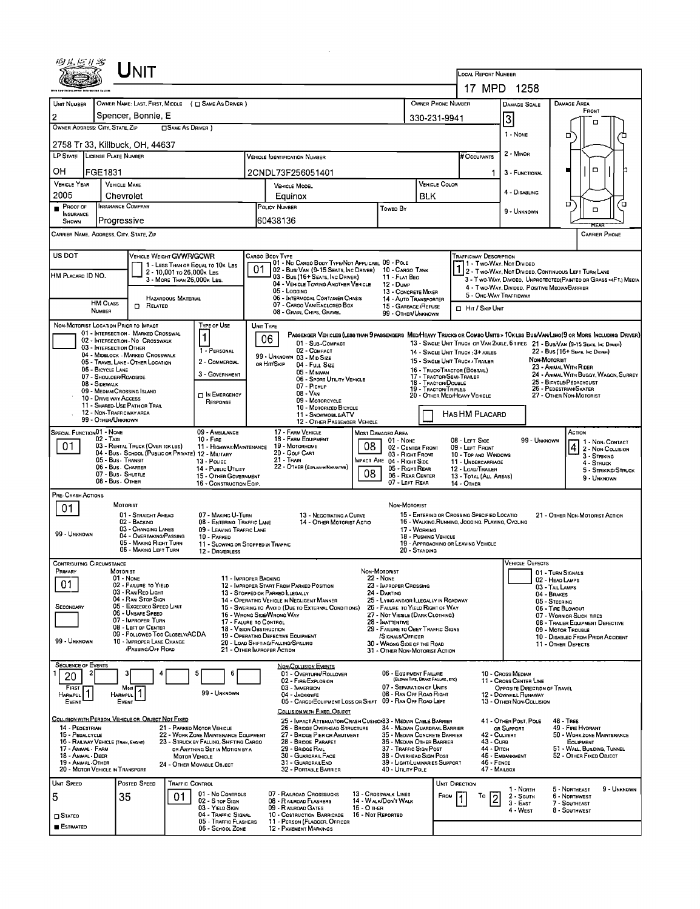|                                                                                                                                                                                                                                                                                                                                                                                                                                                                                                                                                       |                 | INIT                                                                                                                                                                                                                                                                                 |                                                                               |                                                                                                                                                                                                      |                                                                                                                                                                                                                                                                                                                                                                                                                                                                                                                                                                                                                                                                                                                                                                                                                                          |                                                                                                                                                                                                                                                                                                                                                                                                                                                           |                                                                                                                                                                                                                                                                                                                                             |                                                                                                                                                     | LOCAL REPORT NUMBER                                                                                                                    |                                                                                                                                                                                                                                                                  | 17 MPD 1258                                                                                                                                                                               |                                                                                                                                                                                                                                                              |  |  |
|-------------------------------------------------------------------------------------------------------------------------------------------------------------------------------------------------------------------------------------------------------------------------------------------------------------------------------------------------------------------------------------------------------------------------------------------------------------------------------------------------------------------------------------------------------|-----------------|--------------------------------------------------------------------------------------------------------------------------------------------------------------------------------------------------------------------------------------------------------------------------------------|-------------------------------------------------------------------------------|------------------------------------------------------------------------------------------------------------------------------------------------------------------------------------------------------|------------------------------------------------------------------------------------------------------------------------------------------------------------------------------------------------------------------------------------------------------------------------------------------------------------------------------------------------------------------------------------------------------------------------------------------------------------------------------------------------------------------------------------------------------------------------------------------------------------------------------------------------------------------------------------------------------------------------------------------------------------------------------------------------------------------------------------------|-----------------------------------------------------------------------------------------------------------------------------------------------------------------------------------------------------------------------------------------------------------------------------------------------------------------------------------------------------------------------------------------------------------------------------------------------------------|---------------------------------------------------------------------------------------------------------------------------------------------------------------------------------------------------------------------------------------------------------------------------------------------------------------------------------------------|-----------------------------------------------------------------------------------------------------------------------------------------------------|----------------------------------------------------------------------------------------------------------------------------------------|------------------------------------------------------------------------------------------------------------------------------------------------------------------------------------------------------------------------------------------------------------------|-------------------------------------------------------------------------------------------------------------------------------------------------------------------------------------------|--------------------------------------------------------------------------------------------------------------------------------------------------------------------------------------------------------------------------------------------------------------|--|--|
| UNIT NUMBER<br>$\overline{2}$<br>OWNER ADDRESS: CITY, STATE, ZIP                                                                                                                                                                                                                                                                                                                                                                                                                                                                                      |                 | Spencer, Bonnie, E                                                                                                                                                                                                                                                                   | □ SAME AS DRIVER )                                                            | OWNER NAME: LAST, FIRST, MIDDLE ( C SAME AS DRIVER )                                                                                                                                                 |                                                                                                                                                                                                                                                                                                                                                                                                                                                                                                                                                                                                                                                                                                                                                                                                                                          |                                                                                                                                                                                                                                                                                                                                                                                                                                                           | OWNER PHONE NUMBER<br>330-231-9941                                                                                                                                                                                                                                                                                                          |                                                                                                                                                     | DAMAGE SCALE<br>$\vert$ 3<br>1 - NONE                                                                                                  | DAMAGE AREA<br>FRONT<br>□<br>□                                                                                                                                                                                                                                   |                                                                                                                                                                                           |                                                                                                                                                                                                                                                              |  |  |
| LP STATE LICENSE PLATE NUMBER                                                                                                                                                                                                                                                                                                                                                                                                                                                                                                                         |                 | 2758 Tr 33, Killbuck, OH, 44637                                                                                                                                                                                                                                                      |                                                                               |                                                                                                                                                                                                      |                                                                                                                                                                                                                                                                                                                                                                                                                                                                                                                                                                                                                                                                                                                                                                                                                                          | <b>VEHICLE IDENTIFICATION NUMBER</b>                                                                                                                                                                                                                                                                                                                                                                                                                      |                                                                                                                                                                                                                                                                                                                                             |                                                                                                                                                     | # Occupants                                                                                                                            |                                                                                                                                                                                                                                                                  | 2 - MINOR                                                                                                                                                                                 |                                                                                                                                                                                                                                                              |  |  |
| ОН<br><b>VEHICLE YEAR</b>                                                                                                                                                                                                                                                                                                                                                                                                                                                                                                                             | FGE1831         |                                                                                                                                                                                                                                                                                      |                                                                               |                                                                                                                                                                                                      |                                                                                                                                                                                                                                                                                                                                                                                                                                                                                                                                                                                                                                                                                                                                                                                                                                          | 2CNDL73F256051401                                                                                                                                                                                                                                                                                                                                                                                                                                         |                                                                                                                                                                                                                                                                                                                                             |                                                                                                                                                     | <b>VEHICLE COLOR</b>                                                                                                                   | 1.                                                                                                                                                                                                                                                               | 3 - FUNCTIONAL                                                                                                                                                                            | $\Box$                                                                                                                                                                                                                                                       |  |  |
| 2005                                                                                                                                                                                                                                                                                                                                                                                                                                                                                                                                                  |                 | <b>VEHICLE MAKE</b><br>Chevrolet                                                                                                                                                                                                                                                     |                                                                               |                                                                                                                                                                                                      |                                                                                                                                                                                                                                                                                                                                                                                                                                                                                                                                                                                                                                                                                                                                                                                                                                          | <b>VEHICLE MODEL</b><br>Equinox                                                                                                                                                                                                                                                                                                                                                                                                                           | <b>BLK</b>                                                                                                                                                                                                                                                                                                                                  |                                                                                                                                                     |                                                                                                                                        | 4 - DISABLING                                                                                                                                                                                                                                                    | D<br>о                                                                                                                                                                                    |                                                                                                                                                                                                                                                              |  |  |
| PROOF OF<br><b>INSURANCE</b><br>SHOWN                                                                                                                                                                                                                                                                                                                                                                                                                                                                                                                 |                 | INSURANCE COMPANY<br>Progressive                                                                                                                                                                                                                                                     |                                                                               |                                                                                                                                                                                                      |                                                                                                                                                                                                                                                                                                                                                                                                                                                                                                                                                                                                                                                                                                                                                                                                                                          | POLICY NUMBER<br>60438136                                                                                                                                                                                                                                                                                                                                                                                                                                 | Toweo By                                                                                                                                                                                                                                                                                                                                    |                                                                                                                                                     |                                                                                                                                        |                                                                                                                                                                                                                                                                  | 9 - Unknown                                                                                                                                                                               | $\Box$<br>REAR                                                                                                                                                                                                                                               |  |  |
| CARRIER NAME, ADDRESS, CITY, STATE, ZIP                                                                                                                                                                                                                                                                                                                                                                                                                                                                                                               |                 |                                                                                                                                                                                                                                                                                      |                                                                               |                                                                                                                                                                                                      |                                                                                                                                                                                                                                                                                                                                                                                                                                                                                                                                                                                                                                                                                                                                                                                                                                          |                                                                                                                                                                                                                                                                                                                                                                                                                                                           |                                                                                                                                                                                                                                                                                                                                             |                                                                                                                                                     |                                                                                                                                        |                                                                                                                                                                                                                                                                  |                                                                                                                                                                                           | <b>CARRIER PHONE</b>                                                                                                                                                                                                                                         |  |  |
| US DOT<br>HM PLACARD ID NO.                                                                                                                                                                                                                                                                                                                                                                                                                                                                                                                           | <b>HM CLASS</b> | VEHICLE WEIGHT GVWR/GCWR                                                                                                                                                                                                                                                             | 2 - 10.001 то 26.000к Las<br>3 - MORE THAN 26,000K LBS.<br>HAZARDOUS MATERIAL | 1 - LESS THAN OR EQUAL TO 10K LBS                                                                                                                                                                    |                                                                                                                                                                                                                                                                                                                                                                                                                                                                                                                                                                                                                                                                                                                                                                                                                                          | CARGO BODY TYPE<br>01 - No CARGO BOOY TYPE/NOT APPLICABL 09 - POLE<br>02 - Bus/Van (9-15 Seats, Inc Driver)<br>03 - Bus (16+ Seats, Inc Driver)<br>04 - VEHICLE TOWING ANOTHER VEHICLE<br>05 - Logging<br>06 - INTERMOOAL CONTAINER CHASIS                                                                                                                                                                                                                | 10 - Cargo Tank<br>11 - FLAT BEO<br>12 - Duwe<br>13 - CONCRETE MIXER<br>14 - AUTO TRANSPORTER                                                                                                                                                                                                                                               |                                                                                                                                                     |                                                                                                                                        | <b>TRAFFICWAY DESCRIPTION</b><br>11 - Two-Way, Not Divided<br>2 - Two-Way, Not Divided, Continuous Left Turn Lane<br>3 - Two WAY, DIVIDED, UNPROTECTED (PAINTED OR GRASS >4FT.) MEDIA<br>4 - Two-Way, Divided, Positive Median Barrier<br>5 - ONE-WAY TRAFFICWAY |                                                                                                                                                                                           |                                                                                                                                                                                                                                                              |  |  |
|                                                                                                                                                                                                                                                                                                                                                                                                                                                                                                                                                       | NUMBER          | <b>D</b> RELATED                                                                                                                                                                                                                                                                     |                                                                               |                                                                                                                                                                                                      |                                                                                                                                                                                                                                                                                                                                                                                                                                                                                                                                                                                                                                                                                                                                                                                                                                          | 07 - CARGO VAN ENCLOSED BOX<br>08 - GRAN, CHIPS, GRAVEL                                                                                                                                                                                                                                                                                                                                                                                                   | 15 - GARBAGE / REFUSE<br>99 - OTHER/UNKNOWN                                                                                                                                                                                                                                                                                                 |                                                                                                                                                     | HIT / SKIP UNIT                                                                                                                        |                                                                                                                                                                                                                                                                  |                                                                                                                                                                                           |                                                                                                                                                                                                                                                              |  |  |
| TYPE OF USE<br>NON-MOTORIST LOCATION PRIOR TO IMPACT<br>01 - INTERSECTION - MARKED CROSSWAL<br>$\mathbf{1}$<br>02 - INTERSECTION - NO CROSSWALK<br>03 - INTERSECTION OTHER<br>1 - PERSONAL<br>04 - MIDBLOCK - MARKEO CROSSWALK<br>05 - TRAVEL LANE - OTHER LOCATION<br>2 - COMMERCIAL<br>06 - BICYCLE LANE<br>3 - GOVERNMENT<br>07 - SHOULOER/ROADSIDE<br>08 - SIDEWALK<br>09 - MEDIAN/CROSSING ISLAND<br><b>DIN EMERGENCY</b><br>10 - DRNE WAY ACCESS<br>RESPONSE<br>11 - SHARED-USE PATH OR TRAIL<br>12 - NON-TRAFFICWAY AREA<br>99 - OTHER/UNKNOWN |                 |                                                                                                                                                                                                                                                                                      |                                                                               |                                                                                                                                                                                                      | UNIT TYPE<br>PASSENGER VEHICLES (LESS THAN 9 PASSENGERS MED/HEAVY TRUCKS OR COMBO UNITS > 10KLBS BUS/VAM/LIMO(9 OR MORE INCLUDING DRIVER)<br>06<br>01 - SUB COMPACT<br>13 - SINGLE UNIT TRUCK OR VAN 2AXLE, 6 TIRES 21 - BUS/VAN (9-15 SEATS, INC DRIVER)<br>02 - COMPACT<br>14 - SINGLE UNIT TRUCK: 3+ AXLES<br>99 - UNKNOWN 03 - MID SIZE<br><b>NON MOTORIST</b><br>15 - SINGLE UNIT TRUCK / TRAILER<br>OR HIT/SKIP<br>04 Fuu Size<br>23 - ANIMAL WITH RIDER<br>16 - TRUCK/TRACTOR (BOBTAIL)<br>05 - MINIVAN<br>17 - TRACTOR/SEMI-TRAILER<br>06 - SPORT UTILITY VEHICLE<br>18 - Tractor/Double<br>07 - Pickup<br>26 - Pedestrian/Skater<br>19 - TRACTOR/TRIPLES<br>$08 - V_{AN}$<br>20 - OTHER MED/HEAVY VEHICLE<br>09 - MOTORCYCLE<br>10 - MOTORIZED BICYCLE<br>HAS HM PLACARD<br>11 - SNOWMOBILE/ATV<br>12 - OTHER PASSENGER VEHICLE |                                                                                                                                                                                                                                                                                                                                                                                                                                                           |                                                                                                                                                                                                                                                                                                                                             |                                                                                                                                                     |                                                                                                                                        |                                                                                                                                                                                                                                                                  |                                                                                                                                                                                           | 22 - Bus (16+ Seats, Inc Driver)<br>24 - ANIMAL WITH BUGGY, WAGON, SURREY<br>25 - BICYCLE/PEDACYCLIST<br>27 - OTHER NON-MOTORIST                                                                                                                             |  |  |
| <b>SPECIAL FUNCTIONO1 - NONE</b><br>09 - AMBULANCE<br>02 - Taxi<br>$10 -$ Fire<br>01.<br>03 - RENTAL TRUCK (OVER 10K LBS)<br>11 - HIGHWAY/MAINTENANCE<br>04 - Bus - SCHDDL (PUBLIC OR PRIVATE) 12 - MILITARY<br>05 - Bus - Transit<br>13 - POLICE<br>06 - Bus - Charter<br>14 - PUBLIC UTILITY<br>07 - Bus - SHUTTLE<br>15 - OTHER GOVERNMENT<br>08 - Bus - Other<br>16 - CONSTRUCTION EQIP.                                                                                                                                                          |                 |                                                                                                                                                                                                                                                                                      |                                                                               |                                                                                                                                                                                                      |                                                                                                                                                                                                                                                                                                                                                                                                                                                                                                                                                                                                                                                                                                                                                                                                                                          | 17 - FARM VEHICLE<br><b>MOST DAMAGED AREA</b><br>18 - FARM EQUIPMENT<br>08<br>19 - Мотовноме<br>20 - Golf Cart<br>21 TRAIN<br>MPACT ARE 04 - RIGHT SIDE<br>22 - OTHER (EXPLAIN IN NARRATIVE)<br>08                                                                                                                                                                                                                                                        | 08 - LEFT SIDE<br>02 - CENTER FRONT<br>09 - LEFT FRONT<br>10 - Top and Windows<br>11 - UNDERCARRIAGE<br>12 - LOAD/TRAILER<br>13 - TOTAL (ALL AREAS)<br>14 - Отнея                                                                                                                                                                           | ACTION<br>99 - UNKNOWN<br>1 - Non-CONTACT<br>$\overline{4}$<br>2 - Non-Collision<br>3 - STRIKING<br>4 - STRUCK<br>5 - STRIKNG/STRUCK<br>9 - UNKNOWN |                                                                                                                                        |                                                                                                                                                                                                                                                                  |                                                                                                                                                                                           |                                                                                                                                                                                                                                                              |  |  |
| PRE- CRASH ACTIONS<br>01<br>99 - UNKNOWN                                                                                                                                                                                                                                                                                                                                                                                                                                                                                                              |                 | <b>MOTORIST</b><br>01 - STRAIGHT AHEAG<br>02 - BACKING<br>03 - CHANGING LANES<br>04 - OVERTAKING/PASSING<br>05 - MAKING RIGHT TURN<br>06 - MAKING LEFT TURN                                                                                                                          |                                                                               | 07 - MAKING U-TURN<br>08 - ENTERING TRAFFIC LANE<br>09 - LEAVING TRAFFIC LANE<br>10 - PARKED<br>11 - SLOWING OR STOPPED IN TRAFFIC<br>12 - DRIVERLESS                                                |                                                                                                                                                                                                                                                                                                                                                                                                                                                                                                                                                                                                                                                                                                                                                                                                                                          | 13 - NEGOTIATING A CURVE<br>14 - OTHER MOTORIST ACTIO                                                                                                                                                                                                                                                                                                                                                                                                     | NON-MOTORIST                                                                                                                                                                                                                                                                                                                                | 17 - WORKING<br>18 - PUSHING VEHICLE<br>20 - Standing                                                                                               | 15 - ENTERING OR CROSSING SPECIFIED LOCATIO<br>16 - WALKING, RUNNING, JOGGING, PLAYING, CYCLING<br>19 - APPROACHINO OR LEAVING VEHICLE |                                                                                                                                                                                                                                                                  |                                                                                                                                                                                           | 21 - OTHER NON-MOTORIST ACTION                                                                                                                                                                                                                               |  |  |
| <b>CONTRIBUTING CIRCUMSTANCE</b><br>PRIMARY<br>01<br>SECONDARY<br>99 - UNKNOWN                                                                                                                                                                                                                                                                                                                                                                                                                                                                        |                 | <b>MOTORIST</b><br>01 - None<br>02 - FAILURE TO YIELD<br>03 - RAN RED LIGHT<br>04 - RAN STOP SIGN<br>05 - Exceeded Speed LIMIT<br>06 - UNSAFE SPEED<br>07 - IMPROPER TURN<br>08 - LEFT OF CENTER<br>09 - FOLLOWEO TOO CLOSELY/ACDA<br>10 - IMPROPER LANE CHANGE<br>/PASSING/OFF ROAD |                                                                               | 11 - IMPROPER BACKING<br>17 - FALURE TO CONTROL<br>18 - VISION OBSTRUCTION                                                                                                                           |                                                                                                                                                                                                                                                                                                                                                                                                                                                                                                                                                                                                                                                                                                                                                                                                                                          | 12 IMPROPER START FROM PARKED POSITION<br>13 - STOPPED OR PARKED LLEGALLY<br>14 - OPERATING VEHICLE IN NEGLIGENT MANNER<br>15 - Swering to Avoid (Due to External Conditions)<br>16 - WRONG SIDE/WRONG WAY<br>19 - OPERATING DEFECTIVE EQUIPMENT<br>20 - LOAD SHIFTING/FALLING/SPILLING<br>21 - OTHER IMPROPER ACTION                                                                                                                                     | NON-MOTORIST<br><b>22 - NONE</b><br>23 - IMPROPER CROSSING<br>24 - DARTING<br>25 - LYING AND/OR ILLEGALLY IN ROADWAY<br>26 - FALURE TO YIELD RIGHT OF WAY<br>27 - NOT VISBLE (DARK CLOTHING)<br>28 - INATTENTIVE<br>29 - FAILURE TO OBEY TRAFFIC SIGNS<br>/SIGNALS/OFFICER<br>30 - WRONG SIDE OF THE ROAD<br>31 - OTHER NON-MOTORIST ACTION |                                                                                                                                                     |                                                                                                                                        |                                                                                                                                                                                                                                                                  | VEHICLE DEFECTS                                                                                                                                                                           | 01 - TURN SIGNALS<br>02 - HEAD LAMPS<br>03 - TAIL LAMPS<br>04 - BRAKES<br>05 - STEERING<br>06 - TIRE BLOWOUT<br>07 - WORN OR SLICK TIRES<br>08 - TRALER EQUIPMENT DEFECTIVE<br>09 - MOTOR TROUBLE<br>10 - DISABLED FROM PRIOR ACCIDENT<br>11 - OTHER DEFECTS |  |  |
| <b>SEQUENCE OF EVENTS</b><br>2<br>20<br>FIRST<br><b>HARMFUL</b><br>EVENT<br>14 - PEDESTRIAN<br>15 - PEDALCYCLE<br>16 - RAILWAY VEHICLE (TRAIN, ENGINE)<br>17 - Animal - Farm<br>18 - ANIMAL - DEER<br>19 - ANMAL-OTHER<br>20 - MOTOR VEHICLE IN TRANSPORT                                                                                                                                                                                                                                                                                             |                 | Most<br><b>HARMFUL</b><br>Event<br><u>COLLISION WITH PERSON, VEHICLE OR OBJECT NOT FIXED</u>                                                                                                                                                                                         | <b>MOTOR VEHICLE</b>                                                          | 5<br>6<br>99 - UNKNOWN<br>21 - PARKED MOTOR VEHICLE<br>22 - WORK ZONE MAINTENANCE EQUIPMENT<br>23 - STRUCK BY FALLING, SHIFTING CARGO<br>OR ANYTHING SET IN MOTION BY A<br>24 - OTHER MOVABLE OBJECT |                                                                                                                                                                                                                                                                                                                                                                                                                                                                                                                                                                                                                                                                                                                                                                                                                                          | NON-COLLISION EVENTS<br>01 - OVERTURN/ROLLOVER<br>02 - FIRE/EXPLOSION<br>03 - IMMERSION<br>04 - JACKKNIFE<br>05 - CARGD/EQUIPMENT LOSS OR SHIFT 09 - RAN OFF ROAD LEFT<br>COLLISION WITH FIXED, OBJECT<br>25 - IMPACT ATTENUATOR/CRASH CUSHION33 - MEDIAN CABLE BARRIER<br>26 - BRIDGE OVERHEAD STRUCTURE<br>27 - BRIDGE PIER OR ABUTMENT<br>28 - BRIDGE PARAPET<br>29 - BRIDGE RAIL<br>30 - GUARDRAIL FACE<br>31 - GUARDRAILEND<br>32 - PORTABLE BARRIER | 06 - EQUIPMENT FAILURE<br>07 - SEPARATION OF UNITS<br>08 - RAN OFF ROAD RIGHT<br>34 - Median Guardrail Barrier<br>35 - Median Concrete Barrier<br>36 - MEDIAN OTHER BARRIER<br>37 - Traffic Sign Post<br>38 - Overhead Sign Post<br>39 - LIGHT/LUMINARIES SUPPORT<br>40 - UTILITY POLE                                                      | (BLOWN TIRE, BRAKE FALURE, ETC)                                                                                                                     |                                                                                                                                        | 42 - CULVERT<br>43 - Cuns<br>44 - Олсн<br>$46 -$ Fence<br>47 - MAILBOX                                                                                                                                                                                           | 10 - Cross Median<br>11 - Cross CENTER LINE<br>OPPOSITE DIRECTION OF TRAVEL<br>12 - DOWNHEL RUNAWAY<br>13 - OTHER NON-COLLISION<br>41 - OTHER POST, POLE<br>OR SUPPDRT<br>45 - EMBANKMENT | <b>48 - TREE</b><br>49 - FIRE HYDRANT<br>50 - WORK ZONE MAINTENANCE<br><b>EQUIPMENT</b><br>51 - WALL BULDING, TUNNEL<br>52 - Отнев Fixed Овлест                                                                                                              |  |  |
| UNIT SPEED<br>5<br>$\square$ Stateg<br><b>ESTIMATED</b>                                                                                                                                                                                                                                                                                                                                                                                                                                                                                               |                 | POSTED SPEED<br>35                                                                                                                                                                                                                                                                   | TRAFFIC CONTROL<br>01                                                         | 01 - No CONTROLS<br>02 - S TOP SIGN<br>03 - YIELD SIGN<br>04 - TRAFFIC SIGNAL<br>05 - TRAFFIC FLASHERS<br>06 - SCHOOL ZONE                                                                           |                                                                                                                                                                                                                                                                                                                                                                                                                                                                                                                                                                                                                                                                                                                                                                                                                                          | 07 - RALROAD CROSSBUCKS<br>08 - RAILROAD FLASHERS<br>09 - R AILROAD GATES<br>15 - O THER<br>10 - COSTRUCTION BARRICADE 16 - NOT REPORTED<br>11 - PERSON (FLAGGER, OFFICER<br><b>12 - PAVEMENT MARKINGS</b>                                                                                                                                                                                                                                                | 13 - Crosswalk LINES<br>14 - WALK/DON'T WALK                                                                                                                                                                                                                                                                                                |                                                                                                                                                     | UNIT DIRECTION<br>То<br>FROM                                                                                                           |                                                                                                                                                                                                                                                                  | 1 - North<br>2 - South<br>$3 - E$ AST<br>4 - WEST                                                                                                                                         | 9 - UNKNOWN<br>5 - Northeast<br>6 - Northwest<br>7 - Southeast<br>8 - Southwest                                                                                                                                                                              |  |  |